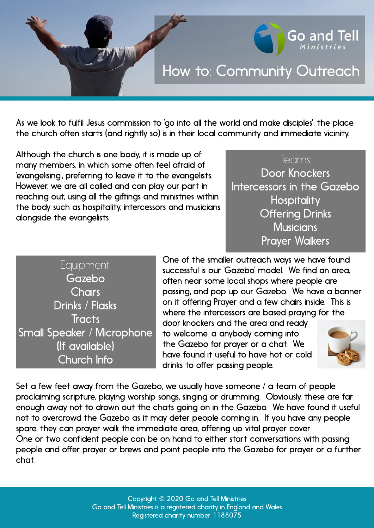## How to: Community Outreach

As we look to fulfil Jesus commission to 'go into all the world and make disciples', the place the church often starts (and rightly so) is in their local community and immediate vicinity.

Although the church is one body, it is made up of many members, in which some often feel afraid of 'evangelising', preferring to leave it to the evangelists. However, we are all called and can play our part in reaching out, using all the giftings and ministries within the body such as hospitality, intercessors and musicians alongside the evangelists.

## Teams:

Go and Tell

Door Knockers Intercessors in the Gazebo **Hospitality Offering Drinks Musicians** Prayer Walkers

Equipment: Gazebo **Chairs** Drinks / Flasks **Tracts** Small Speaker / Microphone (If available) Church Info

One of the smaller outreach ways we have found successful is our 'Gazebo' model. We find an area, often near some local shops where people are passing, and pop up our Gazebo. We have a banner on it offering Prayer and a few chairs inside. This is where the intercessors are based praying for the

door knockers and the area and ready to welcome a anybody coming into the Gazebo for prayer or a chat. We have found it useful to have hot or cold drinks to offer passing people.



Set a few feet away from the Gazebo, we usually have someone  $\ell$  a team of people proclaiming scripture, playing worship songs, singing or drumming. Obviously, these are far enough away not to drown out the chats going on in the Gazebo. We have found it useful not to overcrowd the Gazebo as it may deter people coming in. If you have any people spare, they can prayer walk the immediate area, offering up vital prayer cover. One or two confident people can be on hand to either start conversations with passing people and offer prayer or brews and point people into the Gazebo for prayer or a further chat.